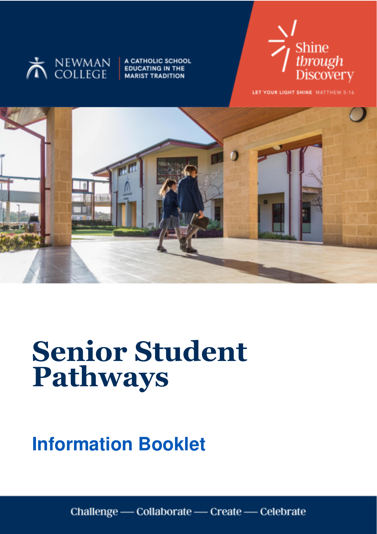

A CATHOLIC SCHOOL **EDUCATING IN THE MARIST TRADITION** 



LET YOUR LIGHT SHINE MATTHEW 5:16



# **Senior Student Pathways**

# **Information Booklet**

Challenge - Collaborate - Create - Celebrate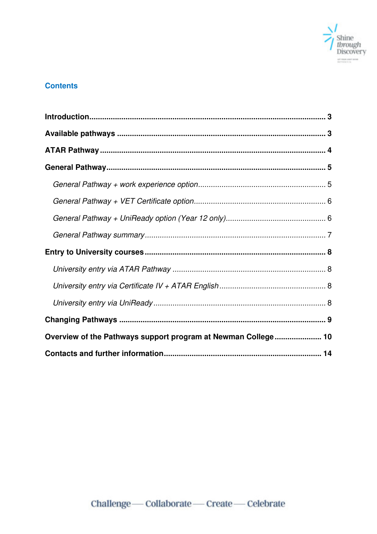

### **Contents**

| Overview of the Pathways support program at Newman College 10 |  |
|---------------------------------------------------------------|--|
|                                                               |  |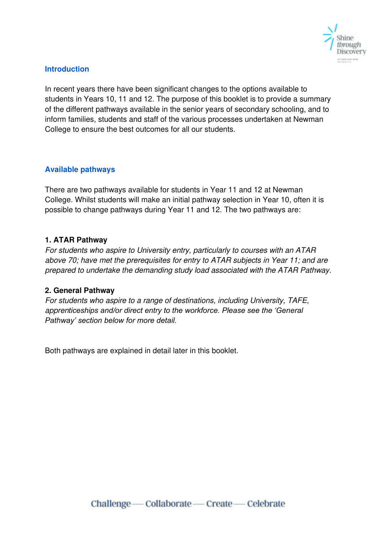

#### <span id="page-2-0"></span>**Introduction**

In recent years there have been significant changes to the options available to students in Years 10, 11 and 12. The purpose of this booklet is to provide a summary of the different pathways available in the senior years of secondary schooling, and to inform families, students and staff of the various processes undertaken at Newman College to ensure the best outcomes for all our students.

#### <span id="page-2-1"></span>**Available pathways**

There are two pathways available for students in Year 11 and 12 at Newman College. Whilst students will make an initial pathway selection in Year 10, often it is possible to change pathways during Year 11 and 12. The two pathways are:

#### **1. ATAR Pathway**

For students who aspire to University entry, particularly to courses with an ATAR above 70; have met the prerequisites for entry to ATAR subjects in Year 11; and are prepared to undertake the demanding study load associated with the ATAR Pathway.

#### **2. General Pathway**

For students who aspire to a range of destinations, including University, TAFE, appren*ticeships and/or direct entry to the workforce. Please see the 'General Pathway' section below for more detail.*

Both pathways are explained in detail later in this booklet.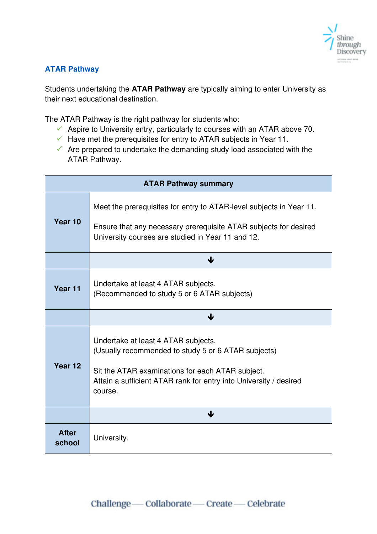

#### <span id="page-3-0"></span>**ATAR Pathway**

Students undertaking the **ATAR Pathway** are typically aiming to enter University as their next educational destination.

The ATAR Pathway is the right pathway for students who:

- $\checkmark$  Aspire to University entry, particularly to courses with an ATAR above 70.
- $\checkmark$  Have met the prerequisites for entry to ATAR subjects in Year 11.
- $\checkmark$  Are prepared to undertake the demanding study load associated with the ATAR Pathway.

| <b>ATAR Pathway summary</b> |                                                                                                                                                                                                                                |  |  |  |
|-----------------------------|--------------------------------------------------------------------------------------------------------------------------------------------------------------------------------------------------------------------------------|--|--|--|
| Year 10                     | Meet the prerequisites for entry to ATAR-level subjects in Year 11.<br>Ensure that any necessary prerequisite ATAR subjects for desired<br>University courses are studied in Year 11 and 12.                                   |  |  |  |
|                             | ↓                                                                                                                                                                                                                              |  |  |  |
| Year 11                     | Undertake at least 4 ATAR subjects.<br>(Recommended to study 5 or 6 ATAR subjects)                                                                                                                                             |  |  |  |
|                             | Ψ                                                                                                                                                                                                                              |  |  |  |
| Year 12                     | Undertake at least 4 ATAR subjects.<br>(Usually recommended to study 5 or 6 ATAR subjects)<br>Sit the ATAR examinations for each ATAR subject.<br>Attain a sufficient ATAR rank for entry into University / desired<br>course. |  |  |  |
|                             | ↓                                                                                                                                                                                                                              |  |  |  |
| <b>After</b><br>school      | University.                                                                                                                                                                                                                    |  |  |  |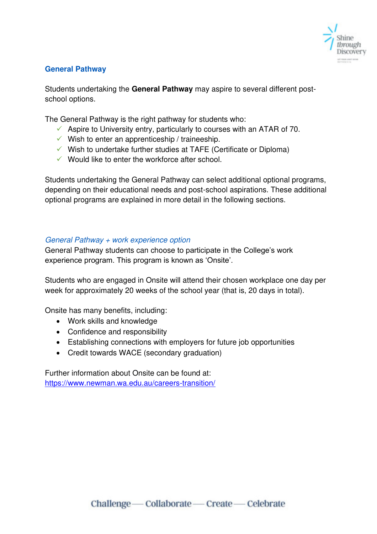

#### <span id="page-4-0"></span>**General Pathway**

Students undertaking the **General Pathway** may aspire to several different postschool options.

The General Pathway is the right pathway for students who:

- $\checkmark$  Aspire to University entry, particularly to courses with an ATAR of 70.
- $\checkmark$  Wish to enter an apprenticeship / traineeship.
- $\checkmark$  Wish to undertake further studies at TAFE (Certificate or Diploma)
- $\checkmark$  Would like to enter the workforce after school.

Students undertaking the General Pathway can select additional optional programs, depending on their educational needs and post-school aspirations. These additional optional programs are explained in more detail in the following sections.

#### <span id="page-4-1"></span>General Pathway + work experience option

General Pathway students can choose to participate in the College's work experience program. This program is known as 'Onsite'.

Students who are engaged in Onsite will attend their chosen workplace one day per week for approximately 20 weeks of the school year (that is, 20 days in total).

Onsite has many benefits, including:

- Work skills and knowledge
- Confidence and responsibility
- Establishing connections with employers for future job opportunities
- Credit towards WACE (secondary graduation)

Further information about Onsite can be found at: <https://www.newman.wa.edu.au/careers-transition/>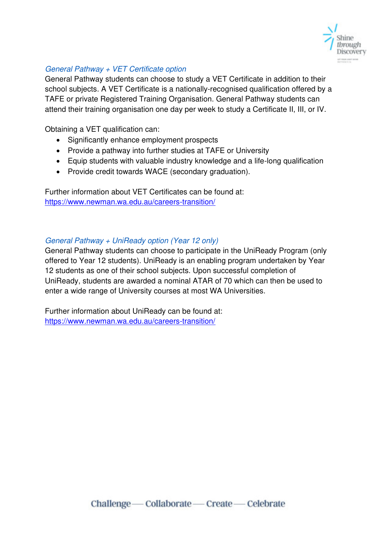

#### <span id="page-5-0"></span>General Pathway + VET Certificate option

General Pathway students can choose to study a VET Certificate in addition to their school subjects. A VET Certificate is a nationally-recognised qualification offered by a TAFE or private Registered Training Organisation. General Pathway students can attend their training organisation one day per week to study a Certificate II, III, or IV.

Obtaining a VET qualification can:

- Significantly enhance employment prospects
- Provide a pathway into further studies at TAFE or University
- Equip students with valuable industry knowledge and a life-long qualification
- Provide credit towards WACE (secondary graduation).

Further information about VET Certificates can be found at: <https://www.newman.wa.edu.au/careers-transition/>

#### <span id="page-5-1"></span>General Pathway + UniReady option (Year 12 only)

General Pathway students can choose to participate in the UniReady Program (only offered to Year 12 students). UniReady is an enabling program undertaken by Year 12 students as one of their school subjects. Upon successful completion of UniReady, students are awarded a nominal ATAR of 70 which can then be used to enter a wide range of University courses at most WA Universities.

Further information about UniReady can be found at: <https://www.newman.wa.edu.au/careers-transition/>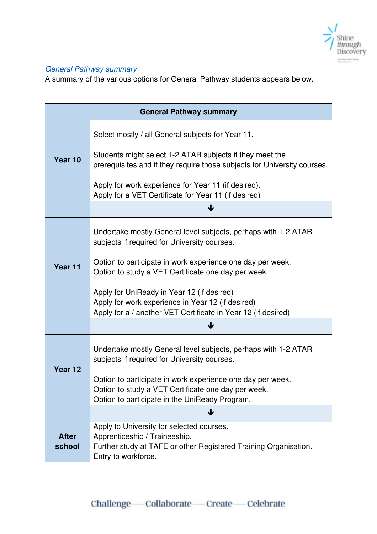

# <span id="page-6-0"></span>General Pathway summary

A summary of the various options for General Pathway students appears below.

| <b>General Pathway summary</b> |                                                                                                                                                                       |  |  |
|--------------------------------|-----------------------------------------------------------------------------------------------------------------------------------------------------------------------|--|--|
|                                | Select mostly / all General subjects for Year 11.                                                                                                                     |  |  |
| Year 10                        | Students might select 1-2 ATAR subjects if they meet the<br>prerequisites and if they require those subjects for University courses.                                  |  |  |
|                                | Apply for work experience for Year 11 (if desired).<br>Apply for a VET Certificate for Year 11 (if desired)                                                           |  |  |
|                                |                                                                                                                                                                       |  |  |
|                                | Undertake mostly General level subjects, perhaps with 1-2 ATAR<br>subjects if required for University courses.                                                        |  |  |
| Year <sub>11</sub>             | Option to participate in work experience one day per week.<br>Option to study a VET Certificate one day per week.                                                     |  |  |
|                                | Apply for UniReady in Year 12 (if desired)<br>Apply for work experience in Year 12 (if desired)<br>Apply for a / another VET Certificate in Year 12 (if desired)      |  |  |
|                                |                                                                                                                                                                       |  |  |
| Year <sub>12</sub>             | Undertake mostly General level subjects, perhaps with 1-2 ATAR<br>subjects if required for University courses.                                                        |  |  |
|                                | Option to participate in work experience one day per week.<br>Option to study a VET Certificate one day per week.<br>Option to participate in the UniReady Program.   |  |  |
|                                | ↓                                                                                                                                                                     |  |  |
| <b>After</b><br>school         | Apply to University for selected courses.<br>Apprenticeship / Traineeship.<br>Further study at TAFE or other Registered Training Organisation.<br>Entry to workforce. |  |  |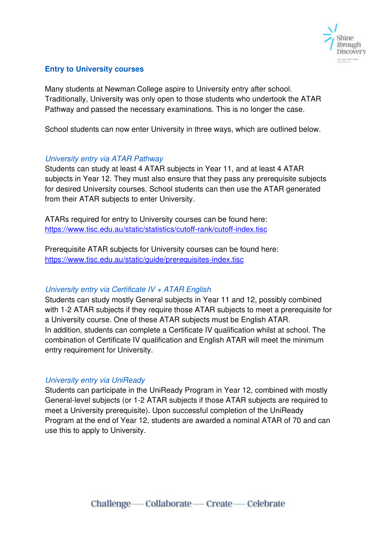

#### <span id="page-7-0"></span>**Entry to University courses**

Many students at Newman College aspire to University entry after school. Traditionally, University was only open to those students who undertook the ATAR Pathway and passed the necessary examinations. This is no longer the case.

School students can now enter University in three ways, which are outlined below.

#### <span id="page-7-1"></span>University entry via ATAR Pathway

Students can study at least 4 ATAR subjects in Year 11, and at least 4 ATAR subjects in Year 12. They must also ensure that they pass any prerequisite subjects for desired University courses. School students can then use the ATAR generated from their ATAR subjects to enter University.

ATARs required for entry to University courses can be found here: <https://www.tisc.edu.au/static/statistics/cutoff-rank/cutoff-index.tisc>

Prerequisite ATAR subjects for University courses can be found here: <https://www.tisc.edu.au/static/guide/prerequisites-index.tisc>

#### <span id="page-7-2"></span>University entry via Certificate IV +  $ATAR$  English

Students can study mostly General subjects in Year 11 and 12, possibly combined with 1-2 ATAR subjects if they require those ATAR subjects to meet a prerequisite for a University course. One of these ATAR subjects must be English ATAR. In addition, students can complete a Certificate IV qualification whilst at school. The combination of Certificate IV qualification and English ATAR will meet the minimum entry requirement for University.

#### <span id="page-7-3"></span>University entry via UniReady

Students can participate in the UniReady Program in Year 12, combined with mostly General-level subjects (or 1-2 ATAR subjects if those ATAR subjects are required to meet a University prerequisite). Upon successful completion of the UniReady Program at the end of Year 12, students are awarded a nominal ATAR of 70 and can use this to apply to University.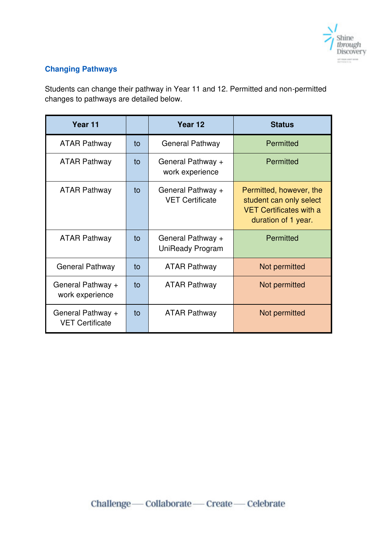

# <span id="page-8-0"></span>**Changing Pathways**

Students can change their pathway in Year 11 and 12. Permitted and non-permitted changes to pathways are detailed below.

| Year 11                                     |    | Year 12                                      | <b>Status</b>                                                                                               |
|---------------------------------------------|----|----------------------------------------------|-------------------------------------------------------------------------------------------------------------|
| <b>ATAR Pathway</b>                         | to | <b>General Pathway</b>                       | Permitted                                                                                                   |
| <b>ATAR Pathway</b>                         | to | General Pathway +<br>work experience         | <b>Permitted</b>                                                                                            |
| <b>ATAR Pathway</b>                         | to | General Pathway +<br><b>VET Certificate</b>  | Permitted, however, the<br>student can only select<br><b>VET Certificates with a</b><br>duration of 1 year. |
| <b>ATAR Pathway</b>                         | to | General Pathway +<br><b>UniReady Program</b> | <b>Permitted</b>                                                                                            |
| <b>General Pathway</b>                      | to | <b>ATAR Pathway</b>                          | Not permitted                                                                                               |
| General Pathway +<br>work experience        | to | <b>ATAR Pathway</b>                          | Not permitted                                                                                               |
| General Pathway +<br><b>VET Certificate</b> | to | <b>ATAR Pathway</b>                          | Not permitted                                                                                               |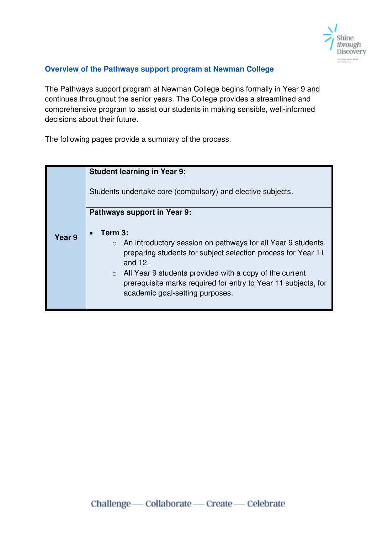

#### <span id="page-9-0"></span>**Overview of the Pathways support program at Newman College**

The Pathways support program at Newman College begins formally in Year 9 and continues throughout the senior years. The College provides a streamlined and comprehensive program to assist our students in making sensible, well-informed decisions about their future.

The following pages provide a summary of the process.

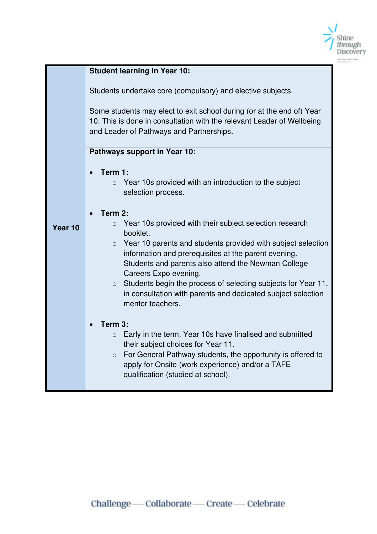

|         | <b>Student learning in Year 10:</b>                                                                                                                                                                                                                        |  |  |  |  |  |  |
|---------|------------------------------------------------------------------------------------------------------------------------------------------------------------------------------------------------------------------------------------------------------------|--|--|--|--|--|--|
|         | Students undertake core (compulsory) and elective subjects.<br>Some students may elect to exit school during (or at the end of) Year<br>10. This is done in consultation with the relevant Leader of Wellbeing<br>and Leader of Pathways and Partnerships. |  |  |  |  |  |  |
|         | Pathways support in Year 10:                                                                                                                                                                                                                               |  |  |  |  |  |  |
|         |                                                                                                                                                                                                                                                            |  |  |  |  |  |  |
|         |                                                                                                                                                                                                                                                            |  |  |  |  |  |  |
|         | Term 1:                                                                                                                                                                                                                                                    |  |  |  |  |  |  |
|         | Year 10s provided with an introduction to the subject<br>$\circ$                                                                                                                                                                                           |  |  |  |  |  |  |
|         | selection process.                                                                                                                                                                                                                                         |  |  |  |  |  |  |
|         |                                                                                                                                                                                                                                                            |  |  |  |  |  |  |
|         | Term 2:<br>$\bullet$                                                                                                                                                                                                                                       |  |  |  |  |  |  |
| Year 10 | Year 10s provided with their subject selection research<br>$\circ$                                                                                                                                                                                         |  |  |  |  |  |  |
|         | booklet.                                                                                                                                                                                                                                                   |  |  |  |  |  |  |
|         | $\circ$ Year 10 parents and students provided with subject selection                                                                                                                                                                                       |  |  |  |  |  |  |
|         | information and prerequisites at the parent evening.                                                                                                                                                                                                       |  |  |  |  |  |  |
|         | Students and parents also attend the Newman College                                                                                                                                                                                                        |  |  |  |  |  |  |
|         | Careers Expo evening.                                                                                                                                                                                                                                      |  |  |  |  |  |  |
|         | $\circ$ Students begin the process of selecting subjects for Year 11,                                                                                                                                                                                      |  |  |  |  |  |  |
|         | in consultation with parents and dedicated subject selection                                                                                                                                                                                               |  |  |  |  |  |  |
|         | mentor teachers.                                                                                                                                                                                                                                           |  |  |  |  |  |  |
|         |                                                                                                                                                                                                                                                            |  |  |  |  |  |  |
|         | Term 3:                                                                                                                                                                                                                                                    |  |  |  |  |  |  |
|         | $\bullet$                                                                                                                                                                                                                                                  |  |  |  |  |  |  |
|         | Early in the term, Year 10s have finalised and submitted<br>$\circ$                                                                                                                                                                                        |  |  |  |  |  |  |
|         | their subject choices for Year 11.                                                                                                                                                                                                                         |  |  |  |  |  |  |
|         | $\circ$ For General Pathway students, the opportunity is offered to                                                                                                                                                                                        |  |  |  |  |  |  |
|         | apply for Onsite (work experience) and/or a TAFE                                                                                                                                                                                                           |  |  |  |  |  |  |
|         | qualification (studied at school).                                                                                                                                                                                                                         |  |  |  |  |  |  |
|         |                                                                                                                                                                                                                                                            |  |  |  |  |  |  |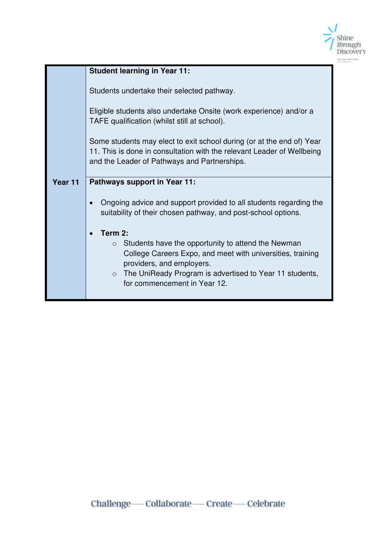

|         | <b>Student learning in Year 11:</b>                                                                                                                                                                                                                            |  |  |  |
|---------|----------------------------------------------------------------------------------------------------------------------------------------------------------------------------------------------------------------------------------------------------------------|--|--|--|
|         | Students undertake their selected pathway.                                                                                                                                                                                                                     |  |  |  |
|         | Eligible students also undertake Onsite (work experience) and/or a<br>TAFE qualification (whilst still at school).                                                                                                                                             |  |  |  |
|         | Some students may elect to exit school during (or at the end of) Year<br>11. This is done in consultation with the relevant Leader of Wellbeing<br>and the Leader of Pathways and Partnerships.                                                                |  |  |  |
| Year 11 | <b>Pathways support in Year 11:</b>                                                                                                                                                                                                                            |  |  |  |
|         | Ongoing advice and support provided to all students regarding the<br>suitability of their chosen pathway, and post-school options.                                                                                                                             |  |  |  |
|         | Term 2:                                                                                                                                                                                                                                                        |  |  |  |
|         | Students have the opportunity to attend the Newman<br>$\circ$<br>College Careers Expo, and meet with universities, training<br>providers, and employers.<br>The UniReady Program is advertised to Year 11 students,<br>$\circ$<br>for commencement in Year 12. |  |  |  |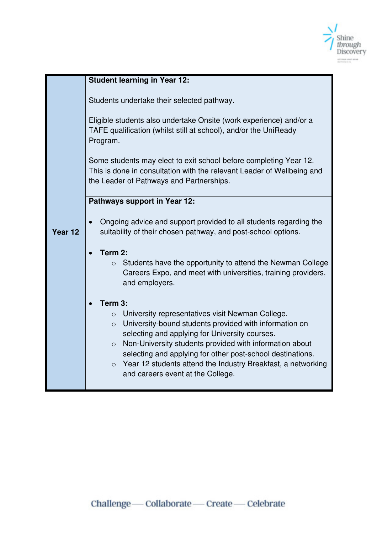

|         | <b>Student learning in Year 12:</b>                                                                                              |  |  |  |  |  |
|---------|----------------------------------------------------------------------------------------------------------------------------------|--|--|--|--|--|
|         |                                                                                                                                  |  |  |  |  |  |
|         | Students undertake their selected pathway.                                                                                       |  |  |  |  |  |
|         |                                                                                                                                  |  |  |  |  |  |
|         | Eligible students also undertake Onsite (work experience) and/or a                                                               |  |  |  |  |  |
|         | TAFE qualification (whilst still at school), and/or the UniReady                                                                 |  |  |  |  |  |
|         | Program.                                                                                                                         |  |  |  |  |  |
|         | Some students may elect to exit school before completing Year 12.                                                                |  |  |  |  |  |
|         | This is done in consultation with the relevant Leader of Wellbeing and                                                           |  |  |  |  |  |
|         | the Leader of Pathways and Partnerships.                                                                                         |  |  |  |  |  |
|         |                                                                                                                                  |  |  |  |  |  |
|         | Pathways support in Year 12:                                                                                                     |  |  |  |  |  |
|         | Ongoing advice and support provided to all students regarding the                                                                |  |  |  |  |  |
| Year 12 | suitability of their chosen pathway, and post-school options.                                                                    |  |  |  |  |  |
|         |                                                                                                                                  |  |  |  |  |  |
|         | Term 2:<br>$\bullet$                                                                                                             |  |  |  |  |  |
|         | Students have the opportunity to attend the Newman College<br>$\circ$                                                            |  |  |  |  |  |
|         | Careers Expo, and meet with universities, training providers,                                                                    |  |  |  |  |  |
|         | and employers.                                                                                                                   |  |  |  |  |  |
|         | Term 3:                                                                                                                          |  |  |  |  |  |
|         | University representatives visit Newman College.<br>$\circ$                                                                      |  |  |  |  |  |
|         | University-bound students provided with information on<br>$\circ$                                                                |  |  |  |  |  |
|         | selecting and applying for University courses.                                                                                   |  |  |  |  |  |
|         | Non-University students provided with information about<br>$\circ$<br>selecting and applying for other post-school destinations. |  |  |  |  |  |
|         | Year 12 students attend the Industry Breakfast, a networking<br>$\circ$                                                          |  |  |  |  |  |
|         | and careers event at the College.                                                                                                |  |  |  |  |  |
|         |                                                                                                                                  |  |  |  |  |  |